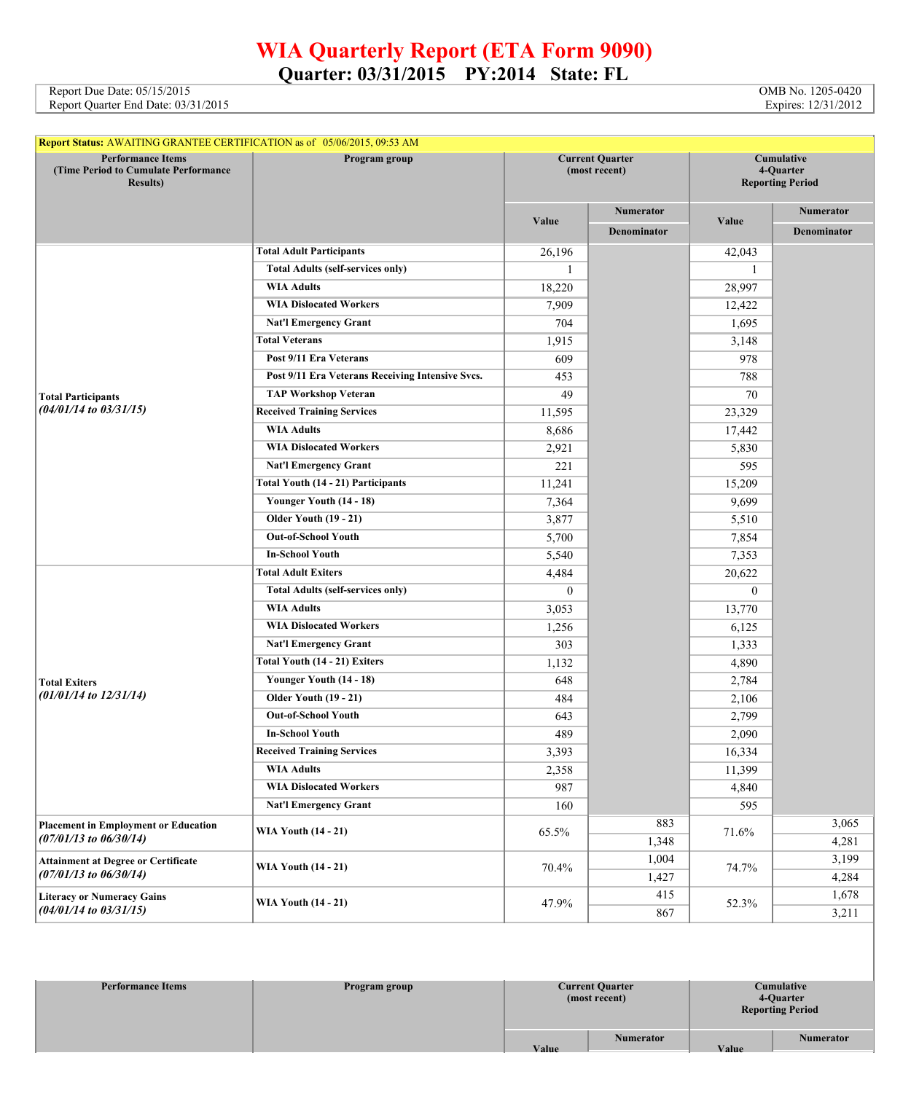## **WIA Quarterly Report (ETA Form 9090) Quarter: 03/31/2015 PY:2014 State: FL**

Report Due Date: 05/15/2015 **OMB** No. 1205-0420 Report Quarter End Date: 03/31/2015 Expires: 12/31/2012

| <b>Report Status: AWAITING GRANTEE CERTIFICATION as of 05/06/2015, 09:53 AM</b>      |                                                  |                                         |                    |                                                    |                    |  |
|--------------------------------------------------------------------------------------|--------------------------------------------------|-----------------------------------------|--------------------|----------------------------------------------------|--------------------|--|
| <b>Performance Items</b><br>(Time Period to Cumulate Performance<br><b>Results</b> ) | Program group                                    | <b>Current Quarter</b><br>(most recent) |                    | Cumulative<br>4-Quarter<br><b>Reporting Period</b> |                    |  |
|                                                                                      |                                                  |                                         | Numerator          |                                                    | <b>Numerator</b>   |  |
|                                                                                      |                                                  | Value                                   | <b>Denominator</b> | Value                                              | <b>Denominator</b> |  |
|                                                                                      | <b>Total Adult Participants</b>                  | 26,196                                  |                    | 42,043                                             |                    |  |
|                                                                                      | <b>Total Adults (self-services only)</b>         | -1                                      |                    | 1                                                  |                    |  |
|                                                                                      | <b>WIA Adults</b>                                | 18,220                                  |                    | 28,997                                             |                    |  |
|                                                                                      | <b>WIA Dislocated Workers</b>                    | 7,909                                   |                    | 12,422                                             |                    |  |
|                                                                                      | <b>Nat'l Emergency Grant</b>                     | 704                                     |                    | 1,695                                              |                    |  |
|                                                                                      | <b>Total Veterans</b>                            | 1,915                                   |                    | 3,148                                              |                    |  |
|                                                                                      | Post 9/11 Era Veterans                           | 609                                     |                    | 978                                                |                    |  |
|                                                                                      | Post 9/11 Era Veterans Receiving Intensive Svcs. | 453                                     |                    | 788                                                |                    |  |
| <b>Total Participants</b>                                                            | <b>TAP Workshop Veteran</b>                      | 49                                      |                    | 70                                                 |                    |  |
| $(04/01/14$ to $03/31/15)$                                                           | <b>Received Training Services</b>                | 11,595                                  |                    | 23,329                                             |                    |  |
|                                                                                      | <b>WIA Adults</b>                                | 8,686                                   |                    | 17,442                                             |                    |  |
|                                                                                      | <b>WIA Dislocated Workers</b>                    | 2,921                                   |                    | 5,830                                              |                    |  |
|                                                                                      | <b>Nat'l Emergency Grant</b>                     | 221                                     |                    | 595                                                |                    |  |
|                                                                                      | Total Youth (14 - 21) Participants               | 11,241                                  |                    | 15,209                                             |                    |  |
|                                                                                      | Younger Youth (14 - 18)                          | 7,364                                   |                    | 9,699                                              |                    |  |
|                                                                                      | <b>Older Youth (19 - 21)</b>                     | 3,877                                   |                    | 5,510                                              |                    |  |
|                                                                                      | <b>Out-of-School Youth</b>                       | 5,700                                   |                    | 7,854                                              |                    |  |
|                                                                                      | <b>In-School Youth</b>                           | 5,540                                   |                    | 7,353                                              |                    |  |
|                                                                                      | <b>Total Adult Exiters</b>                       | 4,484                                   |                    | 20,622                                             |                    |  |
|                                                                                      | <b>Total Adults (self-services only)</b>         | $\mathbf{0}$                            |                    | $\mathbf{0}$                                       |                    |  |
|                                                                                      | <b>WIA Adults</b>                                | 3,053                                   |                    | 13,770                                             |                    |  |
|                                                                                      | <b>WIA Dislocated Workers</b>                    | 1,256                                   |                    | 6,125                                              |                    |  |
|                                                                                      | <b>Nat'l Emergency Grant</b>                     | 303                                     |                    | 1,333                                              |                    |  |
|                                                                                      | Total Youth (14 - 21) Exiters                    | 1,132                                   |                    | 4,890                                              |                    |  |
| <b>Total Exiters</b>                                                                 | Younger Youth (14 - 18)                          | 648                                     |                    | 2,784                                              |                    |  |
| $(01/01/14$ to $12/31/14)$                                                           | <b>Older Youth (19 - 21)</b>                     | 484                                     |                    | 2,106                                              |                    |  |
|                                                                                      | <b>Out-of-School Youth</b>                       | 643                                     |                    | 2,799                                              |                    |  |
|                                                                                      | <b>In-School Youth</b>                           | 489                                     |                    | 2,090                                              |                    |  |
|                                                                                      | <b>Received Training Services</b>                | 3,393                                   |                    | 16,334                                             |                    |  |
|                                                                                      | <b>WIA Adults</b>                                | 2,358                                   |                    | 11,399                                             |                    |  |
|                                                                                      | <b>WIA Dislocated Workers</b>                    | 987                                     |                    | 4,840                                              |                    |  |
|                                                                                      | <b>Nat'l Emergency Grant</b>                     | 160                                     |                    | 595                                                |                    |  |
| <b>Placement in Employment or Education</b>                                          |                                                  |                                         | 883                | 71.6%                                              | 3,065              |  |
| $(07/01/13$ to $06/30/14)$                                                           | <b>WIA Youth (14 - 21)</b>                       | 65.5%                                   | 1,348              |                                                    | 4,281              |  |
| <b>Attainment at Degree or Certificate</b>                                           |                                                  |                                         | 1,004              | 74.7%                                              | 3,199              |  |
| $(07/01/13$ to $06/30/14)$                                                           | <b>WIA Youth (14 - 21)</b>                       | 70.4%                                   | 1,427              |                                                    | 4,284              |  |
| <b>Literacy or Numeracy Gains</b>                                                    |                                                  |                                         | 415                |                                                    | 1,678              |  |
| $(04/01/14$ to $03/31/15)$                                                           | <b>WIA Youth (14 - 21)</b>                       | 47.9%                                   | 867                | 52.3%                                              | 3,211              |  |

| <b>Performance Items</b> | Program group | <b>Current Quarter</b><br>(most recent) | <b>Cumulative</b><br>4-Quarter<br><b>Reporting Period</b> |                  |
|--------------------------|---------------|-----------------------------------------|-----------------------------------------------------------|------------------|
|                          |               | <b>Numerator</b><br>Value               | Value                                                     | <b>Numerator</b> |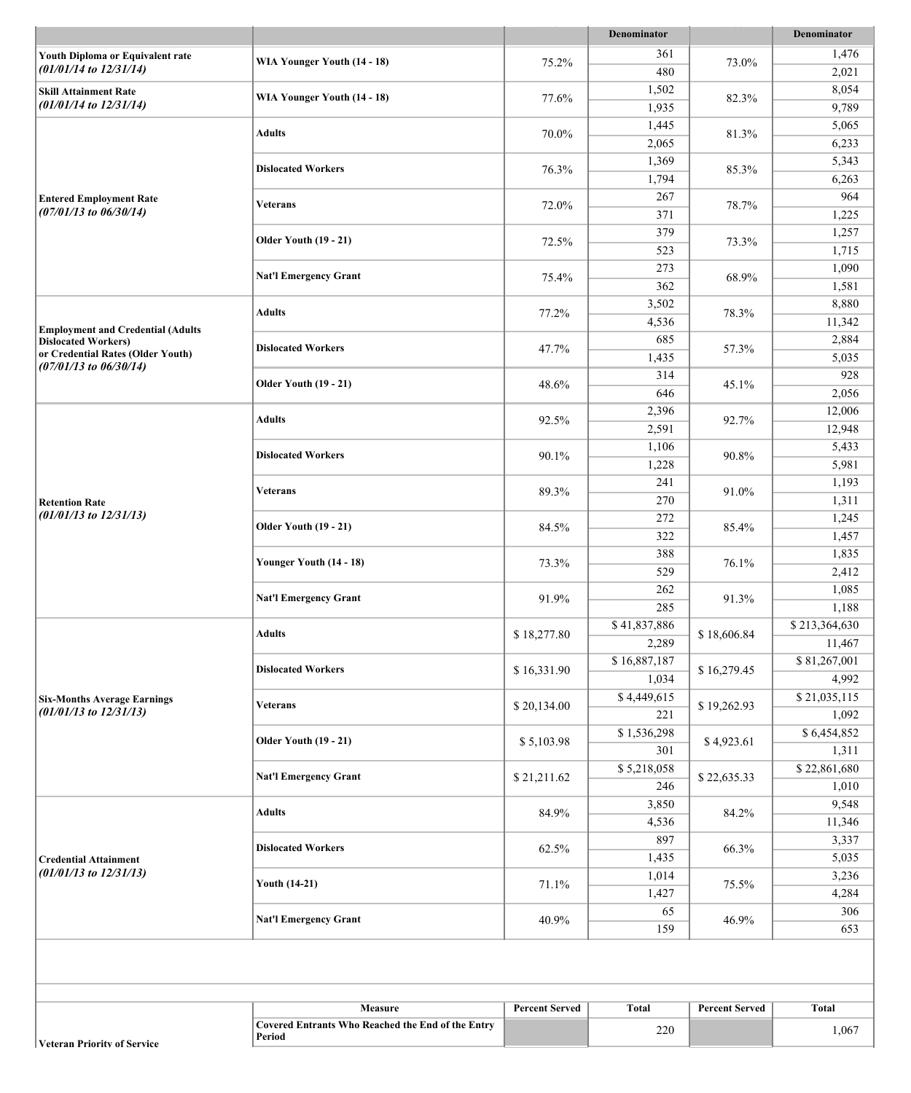| 361<br>1,476<br>Youth Diploma or Equivalent rate<br>WIA Younger Youth (14 - 18)<br>75.2%<br>73.0%<br>$(01/01/14$ to $12/31/14)$<br>480<br>2,021<br>1,502<br>8,054<br><b>Skill Attainment Rate</b><br>WIA Younger Youth (14 - 18)<br>77.6%<br>82.3%<br>$(01/01/14$ to $12/31/14)$<br>1,935<br>9,789<br>1,445<br>5,065<br><b>Adults</b><br>70.0%<br>81.3%<br>2,065<br>6,233<br>1,369<br>5,343<br><b>Dislocated Workers</b><br>76.3%<br>85.3%<br>1,794<br>6,263<br>267<br>964<br><b>Entered Employment Rate</b><br><b>Veterans</b><br>72.0%<br>78.7%<br>$(07/01/13$ to $06/30/14)$<br>371<br>1,225<br>379<br>1,257<br><b>Older Youth (19 - 21)</b><br>72.5%<br>73.3%<br>523<br>1,715<br>273<br>1,090<br><b>Nat'l Emergency Grant</b><br>75.4%<br>68.9%<br>362<br>1,581<br>3,502<br>8,880<br><b>Adults</b><br>77.2%<br>78.3%<br>4,536<br>11,342<br><b>Employment and Credential (Adults</b><br>685<br>2,884<br><b>Dislocated Workers)</b><br><b>Dislocated Workers</b><br>47.7%<br>57.3%<br>or Credential Rates (Older Youth)<br>1,435<br>5,035<br>$(07/01/13$ to $06/30/14)$<br>314<br>928<br><b>Older Youth (19 - 21)</b><br>48.6%<br>45.1%<br>646<br>2,056<br>2,396<br>12,006<br><b>Adults</b><br>92.5%<br>92.7%<br>2,591<br>12,948<br>1,106<br>5,433<br><b>Dislocated Workers</b><br>90.1%<br>90.8%<br>1,228<br>5,981<br>241<br>1,193<br>Veterans<br>89.3%<br>91.0%<br>270<br>1,311<br><b>Retention Rate</b><br>$(01/01/13$ to $12/31/13)$<br>272<br>1,245<br><b>Older Youth (19 - 21)</b><br>84.5%<br>85.4%<br>322<br>1,457<br>388<br>1,835<br>Younger Youth (14 - 18)<br>73.3%<br>76.1%<br>529<br>2,412<br>1,085<br>262<br>91.9%<br><b>Nat'l Emergency Grant</b><br>91.3%<br>285<br>1,188<br>\$41,837,886<br>\$213,364,630<br><b>Adults</b><br>\$18,277.80<br>\$18,606.84<br>2,289<br>11,467<br>\$81,267,001<br>\$16,887,187<br><b>Dislocated Workers</b><br>\$16,331.90<br>\$16,279.45<br>1,034<br>4,992<br>\$4,449,615<br>\$21,035,115<br><b>Six-Months Average Earnings</b><br>\$20,134.00<br>\$19,262.93<br>Veterans<br>$(01/01/13$ to $12/31/13)$<br>1,092<br>221<br>\$6,454,852<br>\$1,536,298<br><b>Older Youth (19 - 21)</b><br>\$5,103.98<br>\$4,923.61<br>301<br>1,311<br>\$22,861,680<br>\$5,218,058<br><b>Nat'l Emergency Grant</b><br>\$21,211.62<br>\$22,635.33<br>246<br>1,010<br>9,548<br>3,850<br><b>Adults</b><br>84.9%<br>84.2%<br>11,346<br>4,536<br>897<br>3,337<br><b>Dislocated Workers</b><br>62.5%<br>66.3%<br>5,035<br>1,435<br><b>Credential Attainment</b><br>$(01/01/13$ to $12/31/13)$<br>1,014<br>3,236<br><b>Youth (14-21)</b><br>71.1%<br>75.5%<br>1,427<br>4,284<br>65<br>306<br><b>Nat'l Emergency Grant</b><br>40.9%<br>46.9%<br>159<br>653<br><b>Total</b><br>Measure<br><b>Percent Served</b><br><b>Total</b><br><b>Percent Served</b><br><b>Covered Entrants Who Reached the End of the Entry</b><br>220<br>1,067<br>Period |  |  |  | Denominator |  | Denominator |
|----------------------------------------------------------------------------------------------------------------------------------------------------------------------------------------------------------------------------------------------------------------------------------------------------------------------------------------------------------------------------------------------------------------------------------------------------------------------------------------------------------------------------------------------------------------------------------------------------------------------------------------------------------------------------------------------------------------------------------------------------------------------------------------------------------------------------------------------------------------------------------------------------------------------------------------------------------------------------------------------------------------------------------------------------------------------------------------------------------------------------------------------------------------------------------------------------------------------------------------------------------------------------------------------------------------------------------------------------------------------------------------------------------------------------------------------------------------------------------------------------------------------------------------------------------------------------------------------------------------------------------------------------------------------------------------------------------------------------------------------------------------------------------------------------------------------------------------------------------------------------------------------------------------------------------------------------------------------------------------------------------------------------------------------------------------------------------------------------------------------------------------------------------------------------------------------------------------------------------------------------------------------------------------------------------------------------------------------------------------------------------------------------------------------------------------------------------------------------------------------------------------------------------------------------------------------------------------------------------------------------------------------------------------------------------------------------------------------------------------------------------------------------------------------------------------------------------------------------------------------|--|--|--|-------------|--|-------------|
|                                                                                                                                                                                                                                                                                                                                                                                                                                                                                                                                                                                                                                                                                                                                                                                                                                                                                                                                                                                                                                                                                                                                                                                                                                                                                                                                                                                                                                                                                                                                                                                                                                                                                                                                                                                                                                                                                                                                                                                                                                                                                                                                                                                                                                                                                                                                                                                                                                                                                                                                                                                                                                                                                                                                                                                                                                                                      |  |  |  |             |  |             |
|                                                                                                                                                                                                                                                                                                                                                                                                                                                                                                                                                                                                                                                                                                                                                                                                                                                                                                                                                                                                                                                                                                                                                                                                                                                                                                                                                                                                                                                                                                                                                                                                                                                                                                                                                                                                                                                                                                                                                                                                                                                                                                                                                                                                                                                                                                                                                                                                                                                                                                                                                                                                                                                                                                                                                                                                                                                                      |  |  |  |             |  |             |
|                                                                                                                                                                                                                                                                                                                                                                                                                                                                                                                                                                                                                                                                                                                                                                                                                                                                                                                                                                                                                                                                                                                                                                                                                                                                                                                                                                                                                                                                                                                                                                                                                                                                                                                                                                                                                                                                                                                                                                                                                                                                                                                                                                                                                                                                                                                                                                                                                                                                                                                                                                                                                                                                                                                                                                                                                                                                      |  |  |  |             |  |             |
|                                                                                                                                                                                                                                                                                                                                                                                                                                                                                                                                                                                                                                                                                                                                                                                                                                                                                                                                                                                                                                                                                                                                                                                                                                                                                                                                                                                                                                                                                                                                                                                                                                                                                                                                                                                                                                                                                                                                                                                                                                                                                                                                                                                                                                                                                                                                                                                                                                                                                                                                                                                                                                                                                                                                                                                                                                                                      |  |  |  |             |  |             |
|                                                                                                                                                                                                                                                                                                                                                                                                                                                                                                                                                                                                                                                                                                                                                                                                                                                                                                                                                                                                                                                                                                                                                                                                                                                                                                                                                                                                                                                                                                                                                                                                                                                                                                                                                                                                                                                                                                                                                                                                                                                                                                                                                                                                                                                                                                                                                                                                                                                                                                                                                                                                                                                                                                                                                                                                                                                                      |  |  |  |             |  |             |
|                                                                                                                                                                                                                                                                                                                                                                                                                                                                                                                                                                                                                                                                                                                                                                                                                                                                                                                                                                                                                                                                                                                                                                                                                                                                                                                                                                                                                                                                                                                                                                                                                                                                                                                                                                                                                                                                                                                                                                                                                                                                                                                                                                                                                                                                                                                                                                                                                                                                                                                                                                                                                                                                                                                                                                                                                                                                      |  |  |  |             |  |             |
|                                                                                                                                                                                                                                                                                                                                                                                                                                                                                                                                                                                                                                                                                                                                                                                                                                                                                                                                                                                                                                                                                                                                                                                                                                                                                                                                                                                                                                                                                                                                                                                                                                                                                                                                                                                                                                                                                                                                                                                                                                                                                                                                                                                                                                                                                                                                                                                                                                                                                                                                                                                                                                                                                                                                                                                                                                                                      |  |  |  |             |  |             |
|                                                                                                                                                                                                                                                                                                                                                                                                                                                                                                                                                                                                                                                                                                                                                                                                                                                                                                                                                                                                                                                                                                                                                                                                                                                                                                                                                                                                                                                                                                                                                                                                                                                                                                                                                                                                                                                                                                                                                                                                                                                                                                                                                                                                                                                                                                                                                                                                                                                                                                                                                                                                                                                                                                                                                                                                                                                                      |  |  |  |             |  |             |
|                                                                                                                                                                                                                                                                                                                                                                                                                                                                                                                                                                                                                                                                                                                                                                                                                                                                                                                                                                                                                                                                                                                                                                                                                                                                                                                                                                                                                                                                                                                                                                                                                                                                                                                                                                                                                                                                                                                                                                                                                                                                                                                                                                                                                                                                                                                                                                                                                                                                                                                                                                                                                                                                                                                                                                                                                                                                      |  |  |  |             |  |             |
|                                                                                                                                                                                                                                                                                                                                                                                                                                                                                                                                                                                                                                                                                                                                                                                                                                                                                                                                                                                                                                                                                                                                                                                                                                                                                                                                                                                                                                                                                                                                                                                                                                                                                                                                                                                                                                                                                                                                                                                                                                                                                                                                                                                                                                                                                                                                                                                                                                                                                                                                                                                                                                                                                                                                                                                                                                                                      |  |  |  |             |  |             |
|                                                                                                                                                                                                                                                                                                                                                                                                                                                                                                                                                                                                                                                                                                                                                                                                                                                                                                                                                                                                                                                                                                                                                                                                                                                                                                                                                                                                                                                                                                                                                                                                                                                                                                                                                                                                                                                                                                                                                                                                                                                                                                                                                                                                                                                                                                                                                                                                                                                                                                                                                                                                                                                                                                                                                                                                                                                                      |  |  |  |             |  |             |
|                                                                                                                                                                                                                                                                                                                                                                                                                                                                                                                                                                                                                                                                                                                                                                                                                                                                                                                                                                                                                                                                                                                                                                                                                                                                                                                                                                                                                                                                                                                                                                                                                                                                                                                                                                                                                                                                                                                                                                                                                                                                                                                                                                                                                                                                                                                                                                                                                                                                                                                                                                                                                                                                                                                                                                                                                                                                      |  |  |  |             |  |             |
|                                                                                                                                                                                                                                                                                                                                                                                                                                                                                                                                                                                                                                                                                                                                                                                                                                                                                                                                                                                                                                                                                                                                                                                                                                                                                                                                                                                                                                                                                                                                                                                                                                                                                                                                                                                                                                                                                                                                                                                                                                                                                                                                                                                                                                                                                                                                                                                                                                                                                                                                                                                                                                                                                                                                                                                                                                                                      |  |  |  |             |  |             |
|                                                                                                                                                                                                                                                                                                                                                                                                                                                                                                                                                                                                                                                                                                                                                                                                                                                                                                                                                                                                                                                                                                                                                                                                                                                                                                                                                                                                                                                                                                                                                                                                                                                                                                                                                                                                                                                                                                                                                                                                                                                                                                                                                                                                                                                                                                                                                                                                                                                                                                                                                                                                                                                                                                                                                                                                                                                                      |  |  |  |             |  |             |
|                                                                                                                                                                                                                                                                                                                                                                                                                                                                                                                                                                                                                                                                                                                                                                                                                                                                                                                                                                                                                                                                                                                                                                                                                                                                                                                                                                                                                                                                                                                                                                                                                                                                                                                                                                                                                                                                                                                                                                                                                                                                                                                                                                                                                                                                                                                                                                                                                                                                                                                                                                                                                                                                                                                                                                                                                                                                      |  |  |  |             |  |             |
|                                                                                                                                                                                                                                                                                                                                                                                                                                                                                                                                                                                                                                                                                                                                                                                                                                                                                                                                                                                                                                                                                                                                                                                                                                                                                                                                                                                                                                                                                                                                                                                                                                                                                                                                                                                                                                                                                                                                                                                                                                                                                                                                                                                                                                                                                                                                                                                                                                                                                                                                                                                                                                                                                                                                                                                                                                                                      |  |  |  |             |  |             |
|                                                                                                                                                                                                                                                                                                                                                                                                                                                                                                                                                                                                                                                                                                                                                                                                                                                                                                                                                                                                                                                                                                                                                                                                                                                                                                                                                                                                                                                                                                                                                                                                                                                                                                                                                                                                                                                                                                                                                                                                                                                                                                                                                                                                                                                                                                                                                                                                                                                                                                                                                                                                                                                                                                                                                                                                                                                                      |  |  |  |             |  |             |
|                                                                                                                                                                                                                                                                                                                                                                                                                                                                                                                                                                                                                                                                                                                                                                                                                                                                                                                                                                                                                                                                                                                                                                                                                                                                                                                                                                                                                                                                                                                                                                                                                                                                                                                                                                                                                                                                                                                                                                                                                                                                                                                                                                                                                                                                                                                                                                                                                                                                                                                                                                                                                                                                                                                                                                                                                                                                      |  |  |  |             |  |             |
|                                                                                                                                                                                                                                                                                                                                                                                                                                                                                                                                                                                                                                                                                                                                                                                                                                                                                                                                                                                                                                                                                                                                                                                                                                                                                                                                                                                                                                                                                                                                                                                                                                                                                                                                                                                                                                                                                                                                                                                                                                                                                                                                                                                                                                                                                                                                                                                                                                                                                                                                                                                                                                                                                                                                                                                                                                                                      |  |  |  |             |  |             |
|                                                                                                                                                                                                                                                                                                                                                                                                                                                                                                                                                                                                                                                                                                                                                                                                                                                                                                                                                                                                                                                                                                                                                                                                                                                                                                                                                                                                                                                                                                                                                                                                                                                                                                                                                                                                                                                                                                                                                                                                                                                                                                                                                                                                                                                                                                                                                                                                                                                                                                                                                                                                                                                                                                                                                                                                                                                                      |  |  |  |             |  |             |
|                                                                                                                                                                                                                                                                                                                                                                                                                                                                                                                                                                                                                                                                                                                                                                                                                                                                                                                                                                                                                                                                                                                                                                                                                                                                                                                                                                                                                                                                                                                                                                                                                                                                                                                                                                                                                                                                                                                                                                                                                                                                                                                                                                                                                                                                                                                                                                                                                                                                                                                                                                                                                                                                                                                                                                                                                                                                      |  |  |  |             |  |             |
|                                                                                                                                                                                                                                                                                                                                                                                                                                                                                                                                                                                                                                                                                                                                                                                                                                                                                                                                                                                                                                                                                                                                                                                                                                                                                                                                                                                                                                                                                                                                                                                                                                                                                                                                                                                                                                                                                                                                                                                                                                                                                                                                                                                                                                                                                                                                                                                                                                                                                                                                                                                                                                                                                                                                                                                                                                                                      |  |  |  |             |  |             |
|                                                                                                                                                                                                                                                                                                                                                                                                                                                                                                                                                                                                                                                                                                                                                                                                                                                                                                                                                                                                                                                                                                                                                                                                                                                                                                                                                                                                                                                                                                                                                                                                                                                                                                                                                                                                                                                                                                                                                                                                                                                                                                                                                                                                                                                                                                                                                                                                                                                                                                                                                                                                                                                                                                                                                                                                                                                                      |  |  |  |             |  |             |
|                                                                                                                                                                                                                                                                                                                                                                                                                                                                                                                                                                                                                                                                                                                                                                                                                                                                                                                                                                                                                                                                                                                                                                                                                                                                                                                                                                                                                                                                                                                                                                                                                                                                                                                                                                                                                                                                                                                                                                                                                                                                                                                                                                                                                                                                                                                                                                                                                                                                                                                                                                                                                                                                                                                                                                                                                                                                      |  |  |  |             |  |             |
|                                                                                                                                                                                                                                                                                                                                                                                                                                                                                                                                                                                                                                                                                                                                                                                                                                                                                                                                                                                                                                                                                                                                                                                                                                                                                                                                                                                                                                                                                                                                                                                                                                                                                                                                                                                                                                                                                                                                                                                                                                                                                                                                                                                                                                                                                                                                                                                                                                                                                                                                                                                                                                                                                                                                                                                                                                                                      |  |  |  |             |  |             |
|                                                                                                                                                                                                                                                                                                                                                                                                                                                                                                                                                                                                                                                                                                                                                                                                                                                                                                                                                                                                                                                                                                                                                                                                                                                                                                                                                                                                                                                                                                                                                                                                                                                                                                                                                                                                                                                                                                                                                                                                                                                                                                                                                                                                                                                                                                                                                                                                                                                                                                                                                                                                                                                                                                                                                                                                                                                                      |  |  |  |             |  |             |
|                                                                                                                                                                                                                                                                                                                                                                                                                                                                                                                                                                                                                                                                                                                                                                                                                                                                                                                                                                                                                                                                                                                                                                                                                                                                                                                                                                                                                                                                                                                                                                                                                                                                                                                                                                                                                                                                                                                                                                                                                                                                                                                                                                                                                                                                                                                                                                                                                                                                                                                                                                                                                                                                                                                                                                                                                                                                      |  |  |  |             |  |             |
|                                                                                                                                                                                                                                                                                                                                                                                                                                                                                                                                                                                                                                                                                                                                                                                                                                                                                                                                                                                                                                                                                                                                                                                                                                                                                                                                                                                                                                                                                                                                                                                                                                                                                                                                                                                                                                                                                                                                                                                                                                                                                                                                                                                                                                                                                                                                                                                                                                                                                                                                                                                                                                                                                                                                                                                                                                                                      |  |  |  |             |  |             |
|                                                                                                                                                                                                                                                                                                                                                                                                                                                                                                                                                                                                                                                                                                                                                                                                                                                                                                                                                                                                                                                                                                                                                                                                                                                                                                                                                                                                                                                                                                                                                                                                                                                                                                                                                                                                                                                                                                                                                                                                                                                                                                                                                                                                                                                                                                                                                                                                                                                                                                                                                                                                                                                                                                                                                                                                                                                                      |  |  |  |             |  |             |
|                                                                                                                                                                                                                                                                                                                                                                                                                                                                                                                                                                                                                                                                                                                                                                                                                                                                                                                                                                                                                                                                                                                                                                                                                                                                                                                                                                                                                                                                                                                                                                                                                                                                                                                                                                                                                                                                                                                                                                                                                                                                                                                                                                                                                                                                                                                                                                                                                                                                                                                                                                                                                                                                                                                                                                                                                                                                      |  |  |  |             |  |             |
|                                                                                                                                                                                                                                                                                                                                                                                                                                                                                                                                                                                                                                                                                                                                                                                                                                                                                                                                                                                                                                                                                                                                                                                                                                                                                                                                                                                                                                                                                                                                                                                                                                                                                                                                                                                                                                                                                                                                                                                                                                                                                                                                                                                                                                                                                                                                                                                                                                                                                                                                                                                                                                                                                                                                                                                                                                                                      |  |  |  |             |  |             |
|                                                                                                                                                                                                                                                                                                                                                                                                                                                                                                                                                                                                                                                                                                                                                                                                                                                                                                                                                                                                                                                                                                                                                                                                                                                                                                                                                                                                                                                                                                                                                                                                                                                                                                                                                                                                                                                                                                                                                                                                                                                                                                                                                                                                                                                                                                                                                                                                                                                                                                                                                                                                                                                                                                                                                                                                                                                                      |  |  |  |             |  |             |
|                                                                                                                                                                                                                                                                                                                                                                                                                                                                                                                                                                                                                                                                                                                                                                                                                                                                                                                                                                                                                                                                                                                                                                                                                                                                                                                                                                                                                                                                                                                                                                                                                                                                                                                                                                                                                                                                                                                                                                                                                                                                                                                                                                                                                                                                                                                                                                                                                                                                                                                                                                                                                                                                                                                                                                                                                                                                      |  |  |  |             |  |             |
|                                                                                                                                                                                                                                                                                                                                                                                                                                                                                                                                                                                                                                                                                                                                                                                                                                                                                                                                                                                                                                                                                                                                                                                                                                                                                                                                                                                                                                                                                                                                                                                                                                                                                                                                                                                                                                                                                                                                                                                                                                                                                                                                                                                                                                                                                                                                                                                                                                                                                                                                                                                                                                                                                                                                                                                                                                                                      |  |  |  |             |  |             |
|                                                                                                                                                                                                                                                                                                                                                                                                                                                                                                                                                                                                                                                                                                                                                                                                                                                                                                                                                                                                                                                                                                                                                                                                                                                                                                                                                                                                                                                                                                                                                                                                                                                                                                                                                                                                                                                                                                                                                                                                                                                                                                                                                                                                                                                                                                                                                                                                                                                                                                                                                                                                                                                                                                                                                                                                                                                                      |  |  |  |             |  |             |
|                                                                                                                                                                                                                                                                                                                                                                                                                                                                                                                                                                                                                                                                                                                                                                                                                                                                                                                                                                                                                                                                                                                                                                                                                                                                                                                                                                                                                                                                                                                                                                                                                                                                                                                                                                                                                                                                                                                                                                                                                                                                                                                                                                                                                                                                                                                                                                                                                                                                                                                                                                                                                                                                                                                                                                                                                                                                      |  |  |  |             |  |             |
|                                                                                                                                                                                                                                                                                                                                                                                                                                                                                                                                                                                                                                                                                                                                                                                                                                                                                                                                                                                                                                                                                                                                                                                                                                                                                                                                                                                                                                                                                                                                                                                                                                                                                                                                                                                                                                                                                                                                                                                                                                                                                                                                                                                                                                                                                                                                                                                                                                                                                                                                                                                                                                                                                                                                                                                                                                                                      |  |  |  |             |  |             |
|                                                                                                                                                                                                                                                                                                                                                                                                                                                                                                                                                                                                                                                                                                                                                                                                                                                                                                                                                                                                                                                                                                                                                                                                                                                                                                                                                                                                                                                                                                                                                                                                                                                                                                                                                                                                                                                                                                                                                                                                                                                                                                                                                                                                                                                                                                                                                                                                                                                                                                                                                                                                                                                                                                                                                                                                                                                                      |  |  |  |             |  |             |
|                                                                                                                                                                                                                                                                                                                                                                                                                                                                                                                                                                                                                                                                                                                                                                                                                                                                                                                                                                                                                                                                                                                                                                                                                                                                                                                                                                                                                                                                                                                                                                                                                                                                                                                                                                                                                                                                                                                                                                                                                                                                                                                                                                                                                                                                                                                                                                                                                                                                                                                                                                                                                                                                                                                                                                                                                                                                      |  |  |  |             |  |             |
|                                                                                                                                                                                                                                                                                                                                                                                                                                                                                                                                                                                                                                                                                                                                                                                                                                                                                                                                                                                                                                                                                                                                                                                                                                                                                                                                                                                                                                                                                                                                                                                                                                                                                                                                                                                                                                                                                                                                                                                                                                                                                                                                                                                                                                                                                                                                                                                                                                                                                                                                                                                                                                                                                                                                                                                                                                                                      |  |  |  |             |  |             |
|                                                                                                                                                                                                                                                                                                                                                                                                                                                                                                                                                                                                                                                                                                                                                                                                                                                                                                                                                                                                                                                                                                                                                                                                                                                                                                                                                                                                                                                                                                                                                                                                                                                                                                                                                                                                                                                                                                                                                                                                                                                                                                                                                                                                                                                                                                                                                                                                                                                                                                                                                                                                                                                                                                                                                                                                                                                                      |  |  |  |             |  |             |
|                                                                                                                                                                                                                                                                                                                                                                                                                                                                                                                                                                                                                                                                                                                                                                                                                                                                                                                                                                                                                                                                                                                                                                                                                                                                                                                                                                                                                                                                                                                                                                                                                                                                                                                                                                                                                                                                                                                                                                                                                                                                                                                                                                                                                                                                                                                                                                                                                                                                                                                                                                                                                                                                                                                                                                                                                                                                      |  |  |  |             |  |             |
|                                                                                                                                                                                                                                                                                                                                                                                                                                                                                                                                                                                                                                                                                                                                                                                                                                                                                                                                                                                                                                                                                                                                                                                                                                                                                                                                                                                                                                                                                                                                                                                                                                                                                                                                                                                                                                                                                                                                                                                                                                                                                                                                                                                                                                                                                                                                                                                                                                                                                                                                                                                                                                                                                                                                                                                                                                                                      |  |  |  |             |  |             |
|                                                                                                                                                                                                                                                                                                                                                                                                                                                                                                                                                                                                                                                                                                                                                                                                                                                                                                                                                                                                                                                                                                                                                                                                                                                                                                                                                                                                                                                                                                                                                                                                                                                                                                                                                                                                                                                                                                                                                                                                                                                                                                                                                                                                                                                                                                                                                                                                                                                                                                                                                                                                                                                                                                                                                                                                                                                                      |  |  |  |             |  |             |
|                                                                                                                                                                                                                                                                                                                                                                                                                                                                                                                                                                                                                                                                                                                                                                                                                                                                                                                                                                                                                                                                                                                                                                                                                                                                                                                                                                                                                                                                                                                                                                                                                                                                                                                                                                                                                                                                                                                                                                                                                                                                                                                                                                                                                                                                                                                                                                                                                                                                                                                                                                                                                                                                                                                                                                                                                                                                      |  |  |  |             |  |             |
|                                                                                                                                                                                                                                                                                                                                                                                                                                                                                                                                                                                                                                                                                                                                                                                                                                                                                                                                                                                                                                                                                                                                                                                                                                                                                                                                                                                                                                                                                                                                                                                                                                                                                                                                                                                                                                                                                                                                                                                                                                                                                                                                                                                                                                                                                                                                                                                                                                                                                                                                                                                                                                                                                                                                                                                                                                                                      |  |  |  |             |  |             |
|                                                                                                                                                                                                                                                                                                                                                                                                                                                                                                                                                                                                                                                                                                                                                                                                                                                                                                                                                                                                                                                                                                                                                                                                                                                                                                                                                                                                                                                                                                                                                                                                                                                                                                                                                                                                                                                                                                                                                                                                                                                                                                                                                                                                                                                                                                                                                                                                                                                                                                                                                                                                                                                                                                                                                                                                                                                                      |  |  |  |             |  |             |
|                                                                                                                                                                                                                                                                                                                                                                                                                                                                                                                                                                                                                                                                                                                                                                                                                                                                                                                                                                                                                                                                                                                                                                                                                                                                                                                                                                                                                                                                                                                                                                                                                                                                                                                                                                                                                                                                                                                                                                                                                                                                                                                                                                                                                                                                                                                                                                                                                                                                                                                                                                                                                                                                                                                                                                                                                                                                      |  |  |  |             |  |             |
|                                                                                                                                                                                                                                                                                                                                                                                                                                                                                                                                                                                                                                                                                                                                                                                                                                                                                                                                                                                                                                                                                                                                                                                                                                                                                                                                                                                                                                                                                                                                                                                                                                                                                                                                                                                                                                                                                                                                                                                                                                                                                                                                                                                                                                                                                                                                                                                                                                                                                                                                                                                                                                                                                                                                                                                                                                                                      |  |  |  |             |  |             |
|                                                                                                                                                                                                                                                                                                                                                                                                                                                                                                                                                                                                                                                                                                                                                                                                                                                                                                                                                                                                                                                                                                                                                                                                                                                                                                                                                                                                                                                                                                                                                                                                                                                                                                                                                                                                                                                                                                                                                                                                                                                                                                                                                                                                                                                                                                                                                                                                                                                                                                                                                                                                                                                                                                                                                                                                                                                                      |  |  |  |             |  |             |
|                                                                                                                                                                                                                                                                                                                                                                                                                                                                                                                                                                                                                                                                                                                                                                                                                                                                                                                                                                                                                                                                                                                                                                                                                                                                                                                                                                                                                                                                                                                                                                                                                                                                                                                                                                                                                                                                                                                                                                                                                                                                                                                                                                                                                                                                                                                                                                                                                                                                                                                                                                                                                                                                                                                                                                                                                                                                      |  |  |  |             |  |             |
|                                                                                                                                                                                                                                                                                                                                                                                                                                                                                                                                                                                                                                                                                                                                                                                                                                                                                                                                                                                                                                                                                                                                                                                                                                                                                                                                                                                                                                                                                                                                                                                                                                                                                                                                                                                                                                                                                                                                                                                                                                                                                                                                                                                                                                                                                                                                                                                                                                                                                                                                                                                                                                                                                                                                                                                                                                                                      |  |  |  |             |  |             |